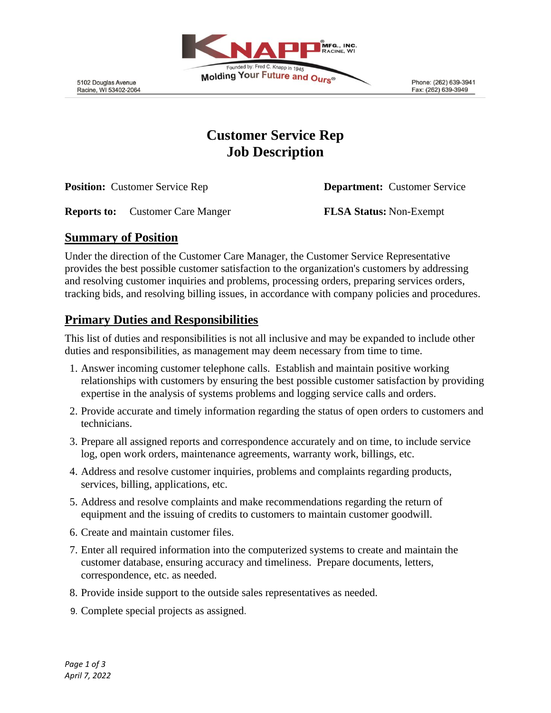

5102 Douglas Avenue Racine, WI 53402-2064 Phone: (262) 639-3941 Fax: (262) 639-3949

# **Customer Service Rep Job Description**

**Position:** Customer Service Rep **Department:** Customer Service

**Reports to:** Customer Care Manger **FLSA Status:** Non-Exempt

# **Summary of Position**

Under the direction of the Customer Care Manager, the Customer Service Representative provides the best possible customer satisfaction to the organization's customers by addressing and resolving customer inquiries and problems, processing orders, preparing services orders, tracking bids, and resolving billing issues, in accordance with company policies and procedures.

# **Primary Duties and Responsibilities**

This list of duties and responsibilities is not all inclusive and may be expanded to include other duties and responsibilities, as management may deem necessary from time to time.

- 1. Answer incoming customer telephone calls. Establish and maintain positive working relationships with customers by ensuring the best possible customer satisfaction by providing expertise in the analysis of systems problems and logging service calls and orders.
- 2. Provide accurate and timely information regarding the status of open orders to customers and technicians.
- 3. Prepare all assigned reports and correspondence accurately and on time, to include service log, open work orders, maintenance agreements, warranty work, billings, etc.
- 4. Address and resolve customer inquiries, problems and complaints regarding products, services, billing, applications, etc.
- 5. Address and resolve complaints and make recommendations regarding the return of equipment and the issuing of credits to customers to maintain customer goodwill.
- 6. Create and maintain customer files.
- 7. Enter all required information into the computerized systems to create and maintain the customer database, ensuring accuracy and timeliness. Prepare documents, letters, correspondence, etc. as needed.
- 8. Provide inside support to the outside sales representatives as needed.
- 9. Complete special projects as assigned.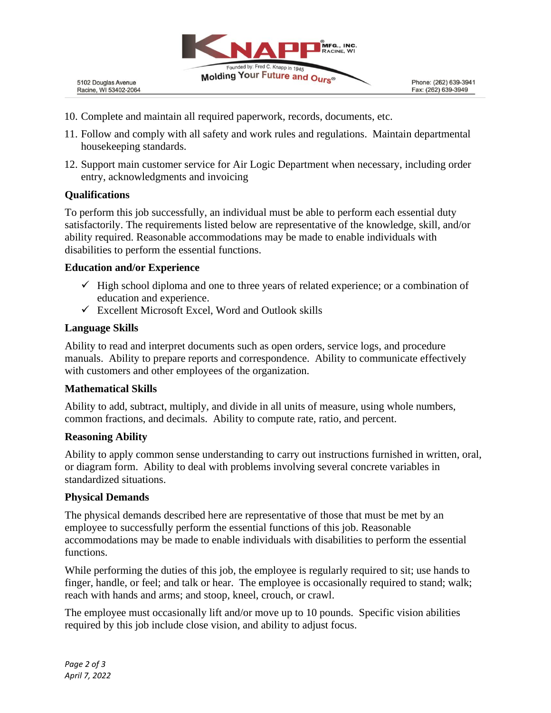

```
5102 Douglas Avenue
Racine, WI 53402-2064
```
- 10. Complete and maintain all required paperwork, records, documents, etc.
- 11. Follow and comply with all safety and work rules and regulations. Maintain departmental housekeeping standards.
- 12. Support main customer service for Air Logic Department when necessary, including order entry, acknowledgments and invoicing

## **Qualifications**

To perform this job successfully, an individual must be able to perform each essential duty satisfactorily. The requirements listed below are representative of the knowledge, skill, and/or ability required. Reasonable accommodations may be made to enable individuals with disabilities to perform the essential functions.

#### **Education and/or Experience**

- $\checkmark$  High school diploma and one to three years of related experience; or a combination of education and experience.
- $\checkmark$  Excellent Microsoft Excel, Word and Outlook skills

## **Language Skills**

Ability to read and interpret documents such as open orders, service logs, and procedure manuals. Ability to prepare reports and correspondence. Ability to communicate effectively with customers and other employees of the organization.

# **Mathematical Skills**

Ability to add, subtract, multiply, and divide in all units of measure, using whole numbers, common fractions, and decimals. Ability to compute rate, ratio, and percent.

#### **Reasoning Ability**

Ability to apply common sense understanding to carry out instructions furnished in written, oral, or diagram form. Ability to deal with problems involving several concrete variables in standardized situations.

#### **Physical Demands**

The physical demands described here are representative of those that must be met by an employee to successfully perform the essential functions of this job. Reasonable accommodations may be made to enable individuals with disabilities to perform the essential functions.

While performing the duties of this job, the employee is regularly required to sit; use hands to finger, handle, or feel; and talk or hear. The employee is occasionally required to stand; walk; reach with hands and arms; and stoop, kneel, crouch, or crawl.

The employee must occasionally lift and/or move up to 10 pounds. Specific vision abilities required by this job include close vision, and ability to adjust focus.